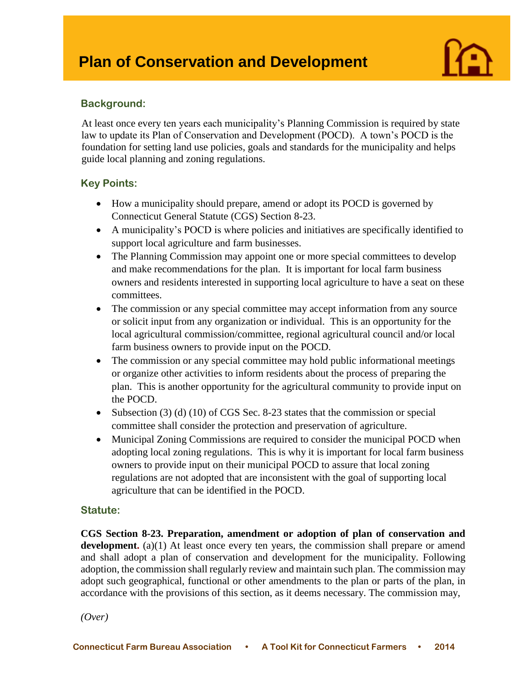

## **Background:**

I

At least once every ten years each municipality's Planning Commission is required by state law to update its Plan of Conservation and Development (POCD). A town's POCD is the foundation for setting land use policies, goals and standards for the municipality and helps guide local planning and zoning regulations.

## **Key Points:**

- How a municipality should prepare, amend or adopt its POCD is governed by Connecticut General Statute (CGS) Section 8-23.
- A municipality's POCD is where policies and initiatives are specifically identified to support local agriculture and farm businesses.
- The Planning Commission may appoint one or more special committees to develop and make recommendations for the plan. It is important for local farm business owners and residents interested in supporting local agriculture to have a seat on these committees.
- The commission or any special committee may accept information from any source or solicit input from any organization or individual. This is an opportunity for the local agricultural commission/committee, regional agricultural council and/or local farm business owners to provide input on the POCD.
- The commission or any special committee may hold public informational meetings or organize other activities to inform residents about the process of preparing the plan. This is another opportunity for the agricultural community to provide input on the POCD.
- Subsection (3) (d) (10) of CGS Sec. 8-23 states that the commission or special committee shall consider the protection and preservation of agriculture.
- Municipal Zoning Commissions are required to consider the municipal POCD when adopting local zoning regulations. This is why it is important for local farm business owners to provide input on their municipal POCD to assure that local zoning regulations are not adopted that are inconsistent with the goal of supporting local agriculture that can be identified in the POCD.

#### **Statute:**

**CGS Section 8-23. Preparation, amendment or adoption of plan of conservation and development.** (a)(1) At least once every ten years, the commission shall prepare or amend and shall adopt a plan of conservation and development for the municipality. Following adoption, the commission shall regularly review and maintain such plan. The commission may adopt such geographical, functional or other amendments to the plan or parts of the plan, in accordance with the provisions of this section, as it deems necessary. The commission may,

*(Over)*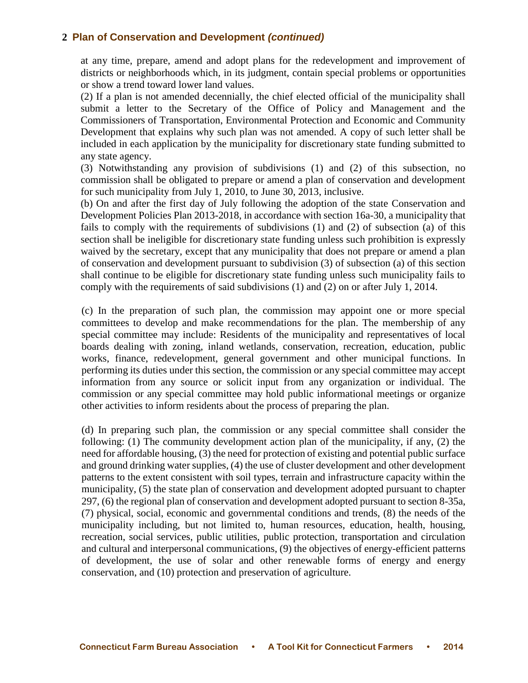at any time, prepare, amend and adopt plans for the redevelopment and improvement of districts or neighborhoods which, in its judgment, contain special problems or opportunities or show a trend toward lower land values.

(2) If a plan is not amended decennially, the chief elected official of the municipality shall submit a letter to the Secretary of the Office of Policy and Management and the Commissioners of Transportation, Environmental Protection and Economic and Community Development that explains why such plan was not amended. A copy of such letter shall be included in each application by the municipality for discretionary state funding submitted to any state agency.

(3) Notwithstanding any provision of subdivisions (1) and (2) of this subsection, no commission shall be obligated to prepare or amend a plan of conservation and development for such municipality from July 1, 2010, to June 30, 2013, inclusive.

(b) On and after the first day of July following the adoption of the state Conservation and Development Policies Plan 2013-2018, in accordance with section 16a-30, a municipality that fails to comply with the requirements of subdivisions (1) and (2) of subsection (a) of this section shall be ineligible for discretionary state funding unless such prohibition is expressly waived by the secretary, except that any municipality that does not prepare or amend a plan of conservation and development pursuant to subdivision (3) of subsection (a) of this section shall continue to be eligible for discretionary state funding unless such municipality fails to comply with the requirements of said subdivisions (1) and (2) on or after July 1, 2014.

(c) In the preparation of such plan, the commission may appoint one or more special committees to develop and make recommendations for the plan. The membership of any special committee may include: Residents of the municipality and representatives of local boards dealing with zoning, inland wetlands, conservation, recreation, education, public works, finance, redevelopment, general government and other municipal functions. In performing its duties under this section, the commission or any special committee may accept information from any source or solicit input from any organization or individual. The commission or any special committee may hold public informational meetings or organize other activities to inform residents about the process of preparing the plan.

(d) In preparing such plan, the commission or any special committee shall consider the following: (1) The community development action plan of the municipality, if any, (2) the need for affordable housing, (3) the need for protection of existing and potential public surface and ground drinking water supplies, (4) the use of cluster development and other development patterns to the extent consistent with soil types, terrain and infrastructure capacity within the municipality, (5) the state plan of conservation and development adopted pursuant to chapter 297, (6) the regional plan of conservation and development adopted pursuant to section 8-35a, (7) physical, social, economic and governmental conditions and trends, (8) the needs of the municipality including, but not limited to, human resources, education, health, housing, recreation, social services, public utilities, public protection, transportation and circulation and cultural and interpersonal communications, (9) the objectives of energy-efficient patterns of development, the use of solar and other renewable forms of energy and energy conservation, and (10) protection and preservation of agriculture.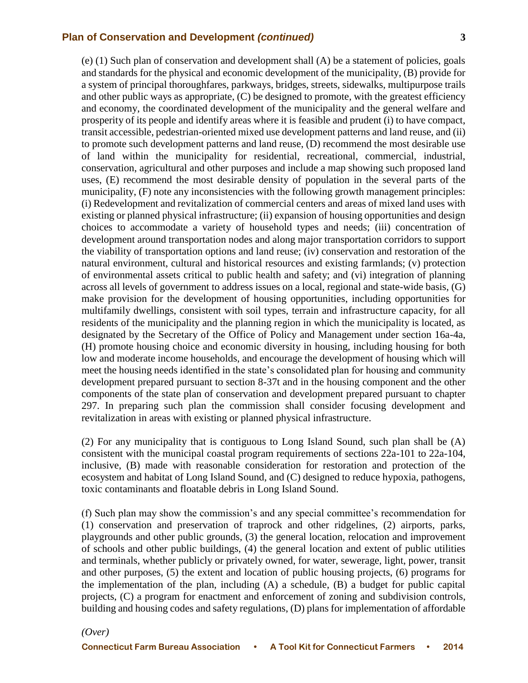(e) (1) Such plan of conservation and development shall (A) be a statement of policies, goals and standards for the physical and economic development of the municipality, (B) provide for a system of principal thoroughfares, parkways, bridges, streets, sidewalks, multipurpose trails and other public ways as appropriate, (C) be designed to promote, with the greatest efficiency and economy, the coordinated development of the municipality and the general welfare and prosperity of its people and identify areas where it is feasible and prudent (i) to have compact, transit accessible, pedestrian-oriented mixed use development patterns and land reuse, and (ii) to promote such development patterns and land reuse, (D) recommend the most desirable use of land within the municipality for residential, recreational, commercial, industrial, conservation, agricultural and other purposes and include a map showing such proposed land uses, (E) recommend the most desirable density of population in the several parts of the municipality, (F) note any inconsistencies with the following growth management principles: (i) Redevelopment and revitalization of commercial centers and areas of mixed land uses with existing or planned physical infrastructure; (ii) expansion of housing opportunities and design choices to accommodate a variety of household types and needs; (iii) concentration of development around transportation nodes and along major transportation corridors to support the viability of transportation options and land reuse; (iv) conservation and restoration of the natural environment, cultural and historical resources and existing farmlands; (v) protection of environmental assets critical to public health and safety; and (vi) integration of planning across all levels of government to address issues on a local, regional and state-wide basis, (G) make provision for the development of housing opportunities, including opportunities for multifamily dwellings, consistent with soil types, terrain and infrastructure capacity, for all residents of the municipality and the planning region in which the municipality is located, as designated by the Secretary of the Office of Policy and Management under section 16a-4a, (H) promote housing choice and economic diversity in housing, including housing for both low and moderate income households, and encourage the development of housing which will meet the housing needs identified in the state's consolidated plan for housing and community development prepared pursuant to section 8-37t and in the housing component and the other components of the state plan of conservation and development prepared pursuant to chapter 297. In preparing such plan the commission shall consider focusing development and revitalization in areas with existing or planned physical infrastructure.

(2) For any municipality that is contiguous to Long Island Sound, such plan shall be (A) consistent with the municipal coastal program requirements of sections 22a-101 to 22a-104, inclusive, (B) made with reasonable consideration for restoration and protection of the ecosystem and habitat of Long Island Sound, and (C) designed to reduce hypoxia, pathogens, toxic contaminants and floatable debris in Long Island Sound.

(f) Such plan may show the commission's and any special committee's recommendation for (1) conservation and preservation of traprock and other ridgelines, (2) airports, parks, playgrounds and other public grounds, (3) the general location, relocation and improvement of schools and other public buildings, (4) the general location and extent of public utilities and terminals, whether publicly or privately owned, for water, sewerage, light, power, transit and other purposes, (5) the extent and location of public housing projects, (6) programs for the implementation of the plan, including (A) a schedule, (B) a budget for public capital projects, (C) a program for enactment and enforcement of zoning and subdivision controls, building and housing codes and safety regulations, (D) plans for implementation of affordable

*(Over)*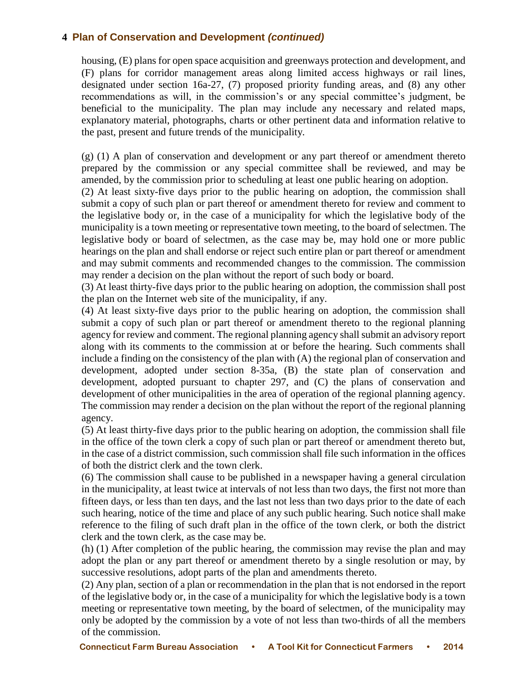housing, (E) plans for open space acquisition and greenways protection and development, and (F) plans for corridor management areas along limited access highways or rail lines, designated under section 16a-27, (7) proposed priority funding areas, and (8) any other recommendations as will, in the commission's or any special committee's judgment, be beneficial to the municipality. The plan may include any necessary and related maps, explanatory material, photographs, charts or other pertinent data and information relative to the past, present and future trends of the municipality.

(g) (1) A plan of conservation and development or any part thereof or amendment thereto prepared by the commission or any special committee shall be reviewed, and may be amended, by the commission prior to scheduling at least one public hearing on adoption.

(2) At least sixty-five days prior to the public hearing on adoption, the commission shall submit a copy of such plan or part thereof or amendment thereto for review and comment to the legislative body or, in the case of a municipality for which the legislative body of the municipality is a town meeting or representative town meeting, to the board of selectmen. The legislative body or board of selectmen, as the case may be, may hold one or more public hearings on the plan and shall endorse or reject such entire plan or part thereof or amendment and may submit comments and recommended changes to the commission. The commission may render a decision on the plan without the report of such body or board.

(3) At least thirty-five days prior to the public hearing on adoption, the commission shall post the plan on the Internet web site of the municipality, if any.

(4) At least sixty-five days prior to the public hearing on adoption, the commission shall submit a copy of such plan or part thereof or amendment thereto to the regional planning agency for review and comment. The regional planning agency shall submit an advisory report along with its comments to the commission at or before the hearing. Such comments shall include a finding on the consistency of the plan with (A) the regional plan of conservation and development, adopted under section 8-35a, (B) the state plan of conservation and development, adopted pursuant to chapter 297, and (C) the plans of conservation and development of other municipalities in the area of operation of the regional planning agency. The commission may render a decision on the plan without the report of the regional planning agency.

(5) At least thirty-five days prior to the public hearing on adoption, the commission shall file in the office of the town clerk a copy of such plan or part thereof or amendment thereto but, in the case of a district commission, such commission shall file such information in the offices of both the district clerk and the town clerk.

(6) The commission shall cause to be published in a newspaper having a general circulation in the municipality, at least twice at intervals of not less than two days, the first not more than fifteen days, or less than ten days, and the last not less than two days prior to the date of each such hearing, notice of the time and place of any such public hearing. Such notice shall make reference to the filing of such draft plan in the office of the town clerk, or both the district clerk and the town clerk, as the case may be.

(h) (1) After completion of the public hearing, the commission may revise the plan and may adopt the plan or any part thereof or amendment thereto by a single resolution or may, by successive resolutions, adopt parts of the plan and amendments thereto.

(2) Any plan, section of a plan or recommendation in the plan that is not endorsed in the report of the legislative body or, in the case of a municipality for which the legislative body is a town meeting or representative town meeting, by the board of selectmen, of the municipality may only be adopted by the commission by a vote of not less than two-thirds of all the members of the commission.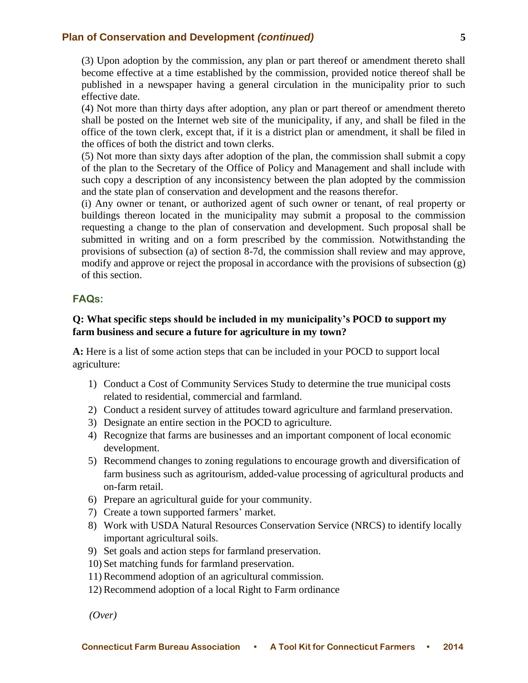(3) Upon adoption by the commission, any plan or part thereof or amendment thereto shall become effective at a time established by the commission, provided notice thereof shall be published in a newspaper having a general circulation in the municipality prior to such effective date.

(4) Not more than thirty days after adoption, any plan or part thereof or amendment thereto shall be posted on the Internet web site of the municipality, if any, and shall be filed in the office of the town clerk, except that, if it is a district plan or amendment, it shall be filed in the offices of both the district and town clerks.

(5) Not more than sixty days after adoption of the plan, the commission shall submit a copy of the plan to the Secretary of the Office of Policy and Management and shall include with such copy a description of any inconsistency between the plan adopted by the commission and the state plan of conservation and development and the reasons therefor.

(i) Any owner or tenant, or authorized agent of such owner or tenant, of real property or buildings thereon located in the municipality may submit a proposal to the commission requesting a change to the plan of conservation and development. Such proposal shall be submitted in writing and on a form prescribed by the commission. Notwithstanding the provisions of subsection (a) of section 8-7d, the commission shall review and may approve, modify and approve or reject the proposal in accordance with the provisions of subsection (g) of this section.

#### **FAQs:**

#### **Q: What specific steps should be included in my municipality's POCD to support my farm business and secure a future for agriculture in my town?**

A: Here is a list of some action steps that can be included in your POCD to support local agriculture:

- 1) Conduct a Cost of Community Services Study to determine the true municipal costs related to residential, commercial and farmland.
- 2) Conduct a resident survey of attitudes toward agriculture and farmland preservation.
- 3) Designate an entire section in the POCD to agriculture.
- 4) Recognize that farms are businesses and an important component of local economic development.
- 5) Recommend changes to zoning regulations to encourage growth and diversification of farm business such as agritourism, added-value processing of agricultural products and on-farm retail.
- 6) Prepare an agricultural guide for your community.
- 7) Create a town supported farmers' market.
- 8) Work with USDA Natural Resources Conservation Service (NRCS) to identify locally important agricultural soils.
- 9) Set goals and action steps for farmland preservation.
- 10) Set matching funds for farmland preservation.
- 11) Recommend adoption of an agricultural commission.
- 12) Recommend adoption of a local Right to Farm ordinance

*(Over)*